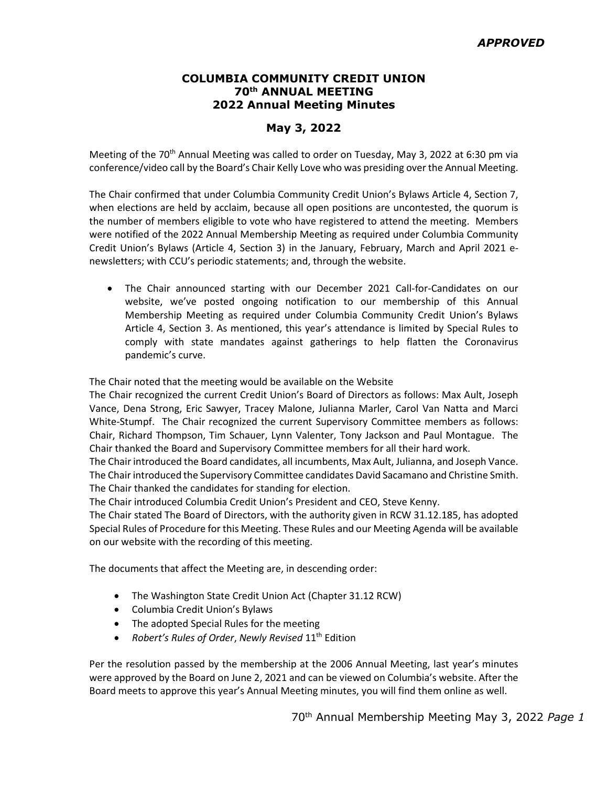## **COLUMBIA COMMUNITY CREDIT UNION 70th ANNUAL MEETING 2022 Annual Meeting Minutes**

## **May 3, 2022**

Meeting of the 70<sup>th</sup> Annual Meeting was called to order on Tuesday, May 3, 2022 at 6:30 pm via conference/video call by the Board's Chair Kelly Love who was presiding over the Annual Meeting.

The Chair confirmed that under Columbia Community Credit Union's Bylaws Article 4, Section 7, when elections are held by acclaim, because all open positions are uncontested, the quorum is the number of members eligible to vote who have registered to attend the meeting. Members were notified of the 2022 Annual Membership Meeting as required under Columbia Community Credit Union's Bylaws (Article 4, Section 3) in the January, February, March and April 2021 enewsletters; with CCU's periodic statements; and, through the website.

• The Chair announced starting with our December 2021 Call-for-Candidates on our website, we've posted ongoing notification to our membership of this Annual Membership Meeting as required under Columbia Community Credit Union's Bylaws Article 4, Section 3. As mentioned, this year's attendance is limited by Special Rules to comply with state mandates against gatherings to help flatten the Coronavirus pandemic's curve.

The Chair noted that the meeting would be available on the Website

The Chair recognized the current Credit Union's Board of Directors as follows: Max Ault, Joseph Vance, Dena Strong, Eric Sawyer, Tracey Malone, Julianna Marler, Carol Van Natta and Marci White-Stumpf. The Chair recognized the current Supervisory Committee members as follows: Chair, Richard Thompson, Tim Schauer, Lynn Valenter, Tony Jackson and Paul Montague. The Chair thanked the Board and Supervisory Committee members for all their hard work.

The Chair introduced the Board candidates, all incumbents, Max Ault, Julianna, and Joseph Vance. The Chair introduced the Supervisory Committee candidates David Sacamano and Christine Smith. The Chair thanked the candidates for standing for election.

The Chair introduced Columbia Credit Union's President and CEO, Steve Kenny.

The Chair stated The Board of Directors, with the authority given in RCW 31.12.185, has adopted Special Rules of Procedure for this Meeting. These Rules and our Meeting Agenda will be available on our website with the recording of this meeting.

The documents that affect the Meeting are, in descending order:

- The Washington State Credit Union Act (Chapter 31.12 RCW)
- Columbia Credit Union's Bylaws
- The adopted Special Rules for the meeting
- *Robert's Rules of Order*, *Newly Revised* 11th Edition

Per the resolution passed by the membership at the 2006 Annual Meeting, last year's minutes were approved by the Board on June 2, 2021 and can be viewed on Columbia's website. After the Board meets to approve this year's Annual Meeting minutes, you will find them online as well.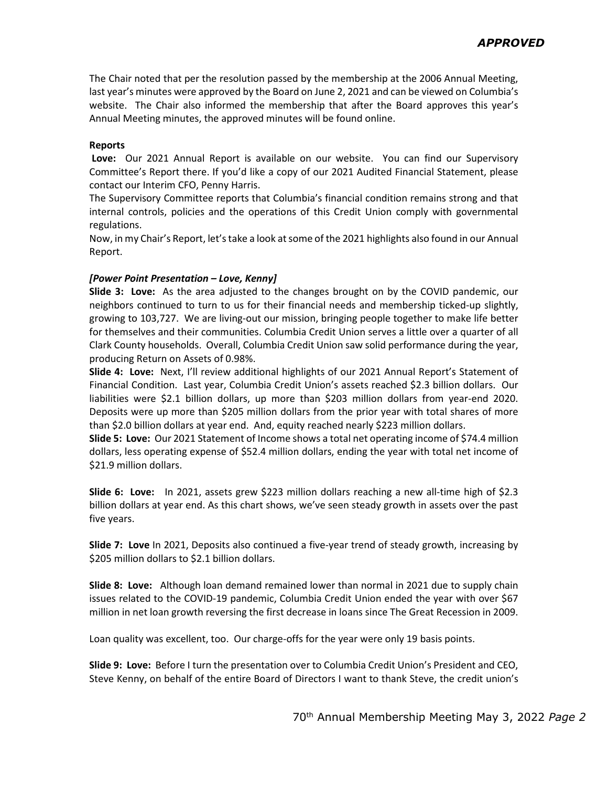The Chair noted that per the resolution passed by the membership at the 2006 Annual Meeting, last year's minutes were approved by the Board on June 2, 2021 and can be viewed on Columbia's website. The Chair also informed the membership that after the Board approves this year's Annual Meeting minutes, the approved minutes will be found online.

### **Reports**

**Love:** Our 2021 Annual Report is available on our website. You can find our Supervisory Committee's Report there. If you'd like a copy of our 2021 Audited Financial Statement, please contact our Interim CFO, Penny Harris.

The Supervisory Committee reports that Columbia's financial condition remains strong and that internal controls, policies and the operations of this Credit Union comply with governmental regulations.

Now, in my Chair's Report, let's take a look at some of the 2021 highlights also found in our Annual Report.

### *[Power Point Presentation – Love, Kenny]*

**Slide 3: Love:** As the area adjusted to the changes brought on by the COVID pandemic, our neighbors continued to turn to us for their financial needs and membership ticked-up slightly, growing to 103,727. We are living-out our mission, bringing people together to make life better for themselves and their communities. Columbia Credit Union serves a little over a quarter of all Clark County households. Overall, Columbia Credit Union saw solid performance during the year, producing Return on Assets of 0.98%.

**Slide 4: Love:** Next, I'll review additional highlights of our 2021 Annual Report's Statement of Financial Condition. Last year, Columbia Credit Union's assets reached \$2.3 billion dollars. Our liabilities were \$2.1 billion dollars, up more than \$203 million dollars from year-end 2020. Deposits were up more than \$205 million dollars from the prior year with total shares of more than \$2.0 billion dollars at year end. And, equity reached nearly \$223 million dollars.

**Slide 5: Love:** Our 2021 Statement of Income shows a total net operating income of \$74.4 million dollars, less operating expense of \$52.4 million dollars, ending the year with total net income of \$21.9 million dollars.

**Slide 6: Love:** In 2021, assets grew \$223 million dollars reaching a new all-time high of \$2.3 billion dollars at year end. As this chart shows, we've seen steady growth in assets over the past five years.

**Slide 7: Love** In 2021, Deposits also continued a five-year trend of steady growth, increasing by \$205 million dollars to \$2.1 billion dollars.

**Slide 8: Love:** Although loan demand remained lower than normal in 2021 due to supply chain issues related to the COVID-19 pandemic, Columbia Credit Union ended the year with over \$67 million in net loan growth reversing the first decrease in loans since The Great Recession in 2009.

Loan quality was excellent, too. Our charge-offs for the year were only 19 basis points.

**Slide 9: Love:** Before I turn the presentation over to Columbia Credit Union's President and CEO, Steve Kenny, on behalf of the entire Board of Directors I want to thank Steve, the credit union's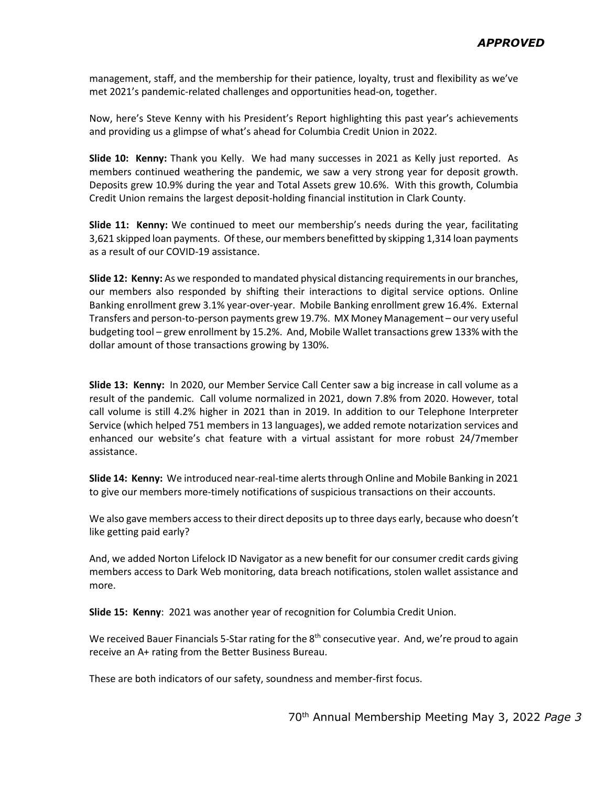management, staff, and the membership for their patience, loyalty, trust and flexibility as we've met 2021's pandemic-related challenges and opportunities head-on, together.

Now, here's Steve Kenny with his President's Report highlighting this past year's achievements and providing us a glimpse of what's ahead for Columbia Credit Union in 2022.

**Slide 10: Kenny:** Thank you Kelly. We had many successes in 2021 as Kelly just reported. As members continued weathering the pandemic, we saw a very strong year for deposit growth. Deposits grew 10.9% during the year and Total Assets grew 10.6%. With this growth, Columbia Credit Union remains the largest deposit-holding financial institution in Clark County.

**Slide 11: Kenny:** We continued to meet our membership's needs during the year, facilitating 3,621 skipped loan payments. Of these, our members benefitted by skipping 1,314 loan payments as a result of our COVID-19 assistance.

**Slide 12: Kenny:** As we responded to mandated physical distancing requirements in our branches, our members also responded by shifting their interactions to digital service options. Online Banking enrollment grew 3.1% year-over-year. Mobile Banking enrollment grew 16.4%. External Transfers and person-to-person payments grew 19.7%. MX Money Management – our very useful budgeting tool – grew enrollment by 15.2%. And, Mobile Wallet transactions grew 133% with the dollar amount of those transactions growing by 130%.

**Slide 13: Kenny:** In 2020, our Member Service Call Center saw a big increase in call volume as a result of the pandemic. Call volume normalized in 2021, down 7.8% from 2020. However, total call volume is still 4.2% higher in 2021 than in 2019. In addition to our Telephone Interpreter Service (which helped 751 members in 13 languages), we added remote notarization services and enhanced our website's chat feature with a virtual assistant for more robust 24/7member assistance.

**Slide 14: Kenny:** We introduced near-real-time alerts through Online and Mobile Banking in 2021 to give our members more-timely notifications of suspicious transactions on their accounts.

We also gave members access to their direct deposits up to three days early, because who doesn't like getting paid early?

And, we added Norton Lifelock ID Navigator as a new benefit for our consumer credit cards giving members access to Dark Web monitoring, data breach notifications, stolen wallet assistance and more.

**Slide 15: Kenny**: 2021 was another year of recognition for Columbia Credit Union.

We received Bauer Financials 5-Star rating for the 8<sup>th</sup> consecutive year. And, we're proud to again receive an A+ rating from the Better Business Bureau.

These are both indicators of our safety, soundness and member-first focus.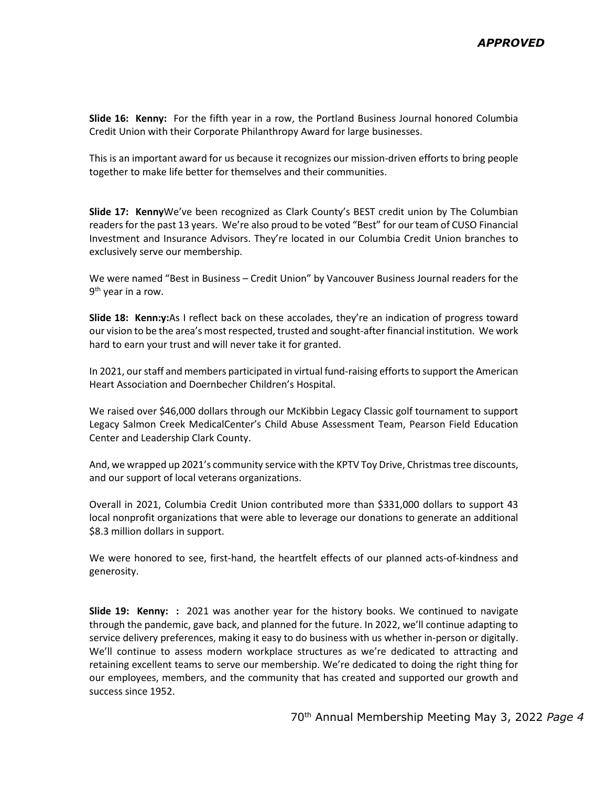**Slide 16: Kenny:** For the fifth year in a row, the Portland Business Journal honored Columbia Credit Union with their Corporate Philanthropy Award for large businesses.

This is an important award for us because it recognizes our mission-driven efforts to bring people together to make life better for themselves and their communities.

**Slide 17: Kenny**We've been recognized as Clark County's BEST credit union by The Columbian readers for the past 13 years. We're also proud to be voted "Best" for our team of CUSO Financial Investment and Insurance Advisors. They're located in our Columbia Credit Union branches to exclusively serve our membership.

We were named "Best in Business – Credit Union" by Vancouver Business Journal readers for the  $9<sup>th</sup>$  year in a row.

**Slide 18: Kenn:y:**As I reflect back on these accolades, they're an indication of progress toward our vision to be the area's most respected, trusted and sought-after financial institution. We work hard to earn your trust and will never take it for granted.

In 2021, our staff and members participated in virtual fund-raising efforts to support the American Heart Association and Doernbecher Children's Hospital.

We raised over \$46,000 dollars through our McKibbin Legacy Classic golf tournament to support Legacy Salmon Creek MedicalCenter's Child Abuse Assessment Team, Pearson Field Education Center and Leadership Clark County.

And, we wrapped up 2021's community service with the KPTV Toy Drive, Christmas tree discounts, and our support of local veterans organizations.

Overall in 2021, Columbia Credit Union contributed more than \$331,000 dollars to support 43 local nonprofit organizations that were able to leverage our donations to generate an additional \$8.3 million dollars in support.

We were honored to see, first-hand, the heartfelt effects of our planned acts-of-kindness and generosity.

**Slide 19: Kenny: :** 2021 was another year for the history books. We continued to navigate through the pandemic, gave back, and planned for the future. In 2022, we'll continue adapting to service delivery preferences, making it easy to do business with us whether in-person or digitally. We'll continue to assess modern workplace structures as we're dedicated to attracting and retaining excellent teams to serve our membership. We're dedicated to doing the right thing for our employees, members, and the community that has created and supported our growth and success since 1952.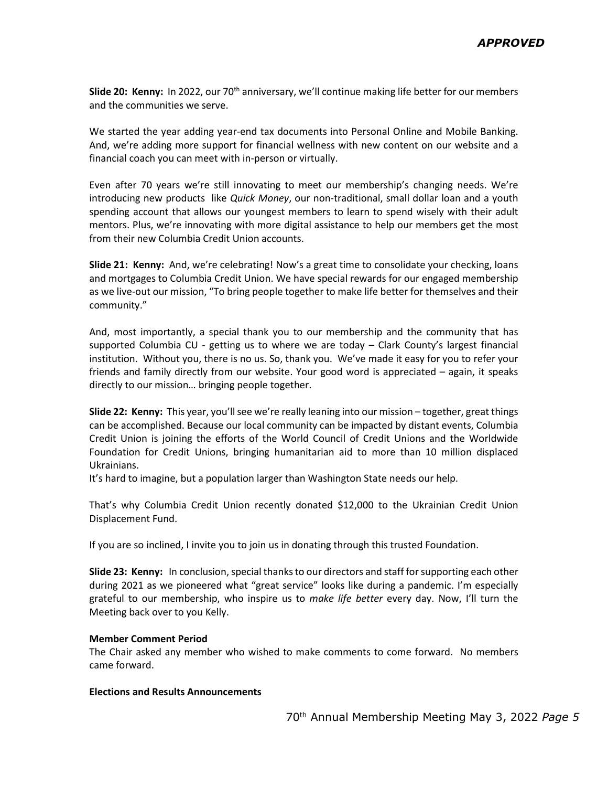**Slide 20: Kenny:** In 2022, our 70<sup>th</sup> anniversary, we'll continue making life better for our members and the communities we serve.

We started the year adding year-end tax documents into Personal Online and Mobile Banking. And, we're adding more support for financial wellness with new content on our website and a financial coach you can meet with in-person or virtually.

Even after 70 years we're still innovating to meet our membership's changing needs. We're introducing new products like *Quick Money*, our non-traditional, small dollar loan and a youth spending account that allows our youngest members to learn to spend wisely with their adult mentors. Plus, we're innovating with more digital assistance to help our members get the most from their new Columbia Credit Union accounts.

**Slide 21: Kenny:** And, we're celebrating! Now's a great time to consolidate your checking, loans and mortgages to Columbia Credit Union. We have special rewards for our engaged membership as we live-out our mission, "To bring people together to make life better for themselves and their community."

And, most importantly, a special thank you to our membership and the community that has supported Columbia CU - getting us to where we are today – Clark County's largest financial institution. Without you, there is no us. So, thank you. We've made it easy for you to refer your friends and family directly from our website. Your good word is appreciated – again, it speaks directly to our mission… bringing people together.

**Slide 22: Kenny:** This year, you'll see we're really leaning into our mission – together, great things can be accomplished. Because our local community can be impacted by distant events, Columbia Credit Union is joining the efforts of the World Council of Credit Unions and the Worldwide Foundation for Credit Unions, bringing humanitarian aid to more than 10 million displaced Ukrainians.

It's hard to imagine, but a population larger than Washington State needs our help.

That's why Columbia Credit Union recently donated \$12,000 to the Ukrainian Credit Union Displacement Fund.

If you are so inclined, I invite you to join us in donating through this trusted Foundation.

**Slide 23: Kenny:** In conclusion, special thanks to our directors and staff for supporting each other during 2021 as we pioneered what "great service" looks like during a pandemic. I'm especially grateful to our membership, who inspire us to *make life better* every day. Now, I'll turn the Meeting back over to you Kelly.

### **Member Comment Period**

The Chair asked any member who wished to make comments to come forward. No members came forward.

#### **Elections and Results Announcements**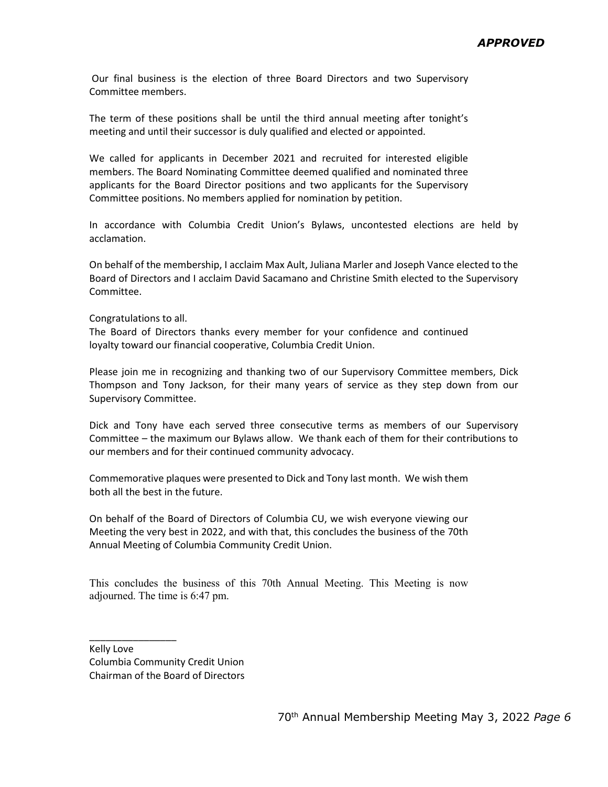Our final business is the election of three Board Directors and two Supervisory Committee members.

The term of these positions shall be until the third annual meeting after tonight's meeting and until their successor is duly qualified and elected or appointed.

We called for applicants in December 2021 and recruited for interested eligible members. The Board Nominating Committee deemed qualified and nominated three applicants for the Board Director positions and two applicants for the Supervisory Committee positions. No members applied for nomination by petition.

In accordance with Columbia Credit Union's Bylaws, uncontested elections are held by acclamation.

On behalf of the membership, I acclaim Max Ault, Juliana Marler and Joseph Vance elected to the Board of Directors and I acclaim David Sacamano and Christine Smith elected to the Supervisory Committee.

Congratulations to all.

The Board of Directors thanks every member for your confidence and continued loyalty toward our financial cooperative, Columbia Credit Union.

Please join me in recognizing and thanking two of our Supervisory Committee members, Dick Thompson and Tony Jackson, for their many years of service as they step down from our Supervisory Committee.

Dick and Tony have each served three consecutive terms as members of our Supervisory Committee – the maximum our Bylaws allow. We thank each of them for their contributions to our members and for their continued community advocacy.

Commemorative plaques were presented to Dick and Tony last month. We wish them both all the best in the future.

On behalf of the Board of Directors of Columbia CU, we wish everyone viewing our Meeting the very best in 2022, and with that, this concludes the business of the 70th Annual Meeting of Columbia Community Credit Union.

This concludes the business of this 70th Annual Meeting. This Meeting is now adjourned. The time is 6:47 pm.

Kelly Love Columbia Community Credit Union Chairman of the Board of Directors

\_\_\_\_\_\_\_\_\_\_\_\_\_\_\_\_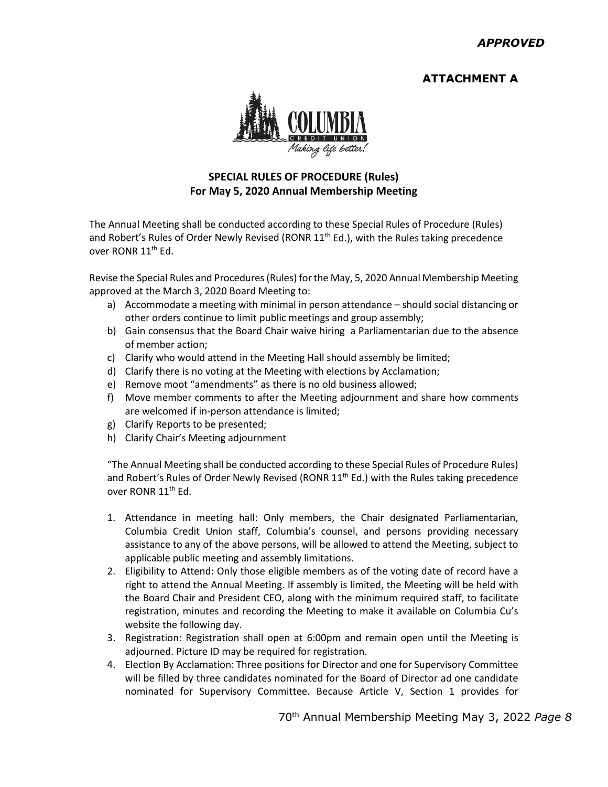# **ATTACHMENT A**



## **SPECIAL RULES OF PROCEDURE (Rules) For May 5, 2020 Annual Membership Meeting**

The Annual Meeting shall be conducted according to these Special Rules of Procedure (Rules) and Robert's Rules of Order Newly Revised (RONR  $11^{th}$  Ed.), with the Rules taking precedence over RONR 11<sup>th</sup> Ed.

Revise the Special Rules and Procedures (Rules) for the May, 5, 2020 Annual Membership Meeting approved at the March 3, 2020 Board Meeting to:

- a) Accommodate a meeting with minimal in person attendance should social distancing or other orders continue to limit public meetings and group assembly;
- b) Gain consensus that the Board Chair waive hiring a Parliamentarian due to the absence of member action;
- c) Clarify who would attend in the Meeting Hall should assembly be limited;
- d) Clarify there is no voting at the Meeting with elections by Acclamation;
- e) Remove moot "amendments" as there is no old business allowed;
- f) Move member comments to after the Meeting adjournment and share how comments are welcomed if in-person attendance is limited;
- g) Clarify Reports to be presented;
- h) Clarify Chair's Meeting adjournment

"The Annual Meeting shall be conducted according to these Special Rules of Procedure Rules) and Robert's Rules of Order Newly Revised (RONR  $11<sup>th</sup>$  Ed.) with the Rules taking precedence over RONR 11<sup>th</sup> Ed.

- 1. Attendance in meeting hall: Only members, the Chair designated Parliamentarian, Columbia Credit Union staff, Columbia's counsel, and persons providing necessary assistance to any of the above persons, will be allowed to attend the Meeting, subject to applicable public meeting and assembly limitations.
- 2. Eligibility to Attend: Only those eligible members as of the voting date of record have a right to attend the Annual Meeting. If assembly is limited, the Meeting will be held with the Board Chair and President CEO, along with the minimum required staff, to facilitate registration, minutes and recording the Meeting to make it available on Columbia Cu's website the following day.
- 3. Registration: Registration shall open at 6:00pm and remain open until the Meeting is adjourned. Picture ID may be required for registration.
- 4. Election By Acclamation: Three positions for Director and one for Supervisory Committee will be filled by three candidates nominated for the Board of Director ad one candidate nominated for Supervisory Committee. Because Article V, Section 1 provides for